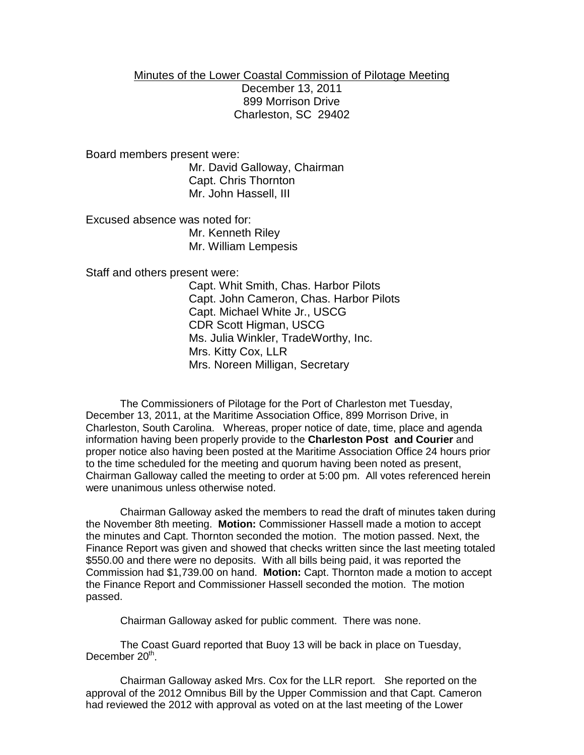## Minutes of the Lower Coastal Commission of Pilotage Meeting December 13, 2011 899 Morrison Drive Charleston, SC 29402

Board members present were:

Mr. David Galloway, Chairman Capt. Chris Thornton Mr. John Hassell, III

Excused absence was noted for: Mr. Kenneth Riley

Mr. William Lempesis

Staff and others present were:

Capt. Whit Smith, Chas. Harbor Pilots Capt. John Cameron, Chas. Harbor Pilots Capt. Michael White Jr., USCG CDR Scott Higman, USCG Ms. Julia Winkler, TradeWorthy, Inc. Mrs. Kitty Cox, LLR Mrs. Noreen Milligan, Secretary

The Commissioners of Pilotage for the Port of Charleston met Tuesday, December 13, 2011, at the Maritime Association Office, 899 Morrison Drive, in Charleston, South Carolina. Whereas, proper notice of date, time, place and agenda information having been properly provide to the **Charleston Post and Courier** and proper notice also having been posted at the Maritime Association Office 24 hours prior to the time scheduled for the meeting and quorum having been noted as present, Chairman Galloway called the meeting to order at 5:00 pm. All votes referenced herein were unanimous unless otherwise noted.

Chairman Galloway asked the members to read the draft of minutes taken during the November 8th meeting. **Motion:** Commissioner Hassell made a motion to accept the minutes and Capt. Thornton seconded the motion. The motion passed. Next, the Finance Report was given and showed that checks written since the last meeting totaled \$550.00 and there were no deposits. With all bills being paid, it was reported the Commission had \$1,739.00 on hand. **Motion:** Capt. Thornton made a motion to accept the Finance Report and Commissioner Hassell seconded the motion. The motion passed.

Chairman Galloway asked for public comment. There was none.

The Coast Guard reported that Buoy 13 will be back in place on Tuesday, December 20<sup>th</sup>.

Chairman Galloway asked Mrs. Cox for the LLR report. She reported on the approval of the 2012 Omnibus Bill by the Upper Commission and that Capt. Cameron had reviewed the 2012 with approval as voted on at the last meeting of the Lower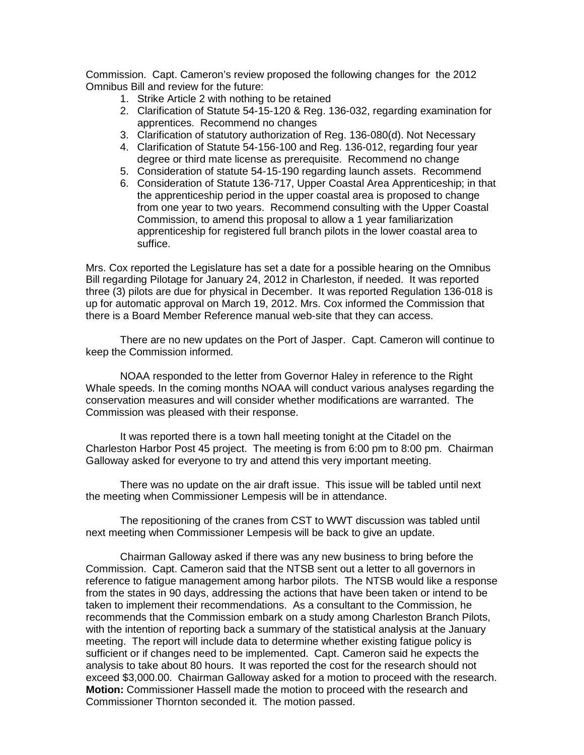Commission. Capt. Cameron's review proposed the following changes for the 2012 Omnibus Bill and review for the future:

- 1. Strike Article 2 with nothing to be retained
- 2. Clarification of Statute 54-15-120 & Reg. 136-032, regarding examination for apprentices. Recommend no changes
- 3. Clarification of statutory authorization of Reg. 136-080(d). Not Necessary
- 4. Clarification of Statute 54-156-100 and Reg. 136-012, regarding four year degree or third mate license as prerequisite. Recommend no change
- 5. Consideration of statute 54-15-190 regarding launch assets. Recommend
- 6. Consideration of Statute 136-717, Upper Coastal Area Apprenticeship; in that the apprenticeship period in the upper coastal area is proposed to change from one year to two years. Recommend consulting with the Upper Coastal Commission, to amend this proposal to allow a 1 year familiarization apprenticeship for registered full branch pilots in the lower coastal area to suffice.

Mrs. Cox reported the Legislature has set a date for a possible hearing on the Omnibus Bill regarding Pilotage for January 24, 2012 in Charleston, if needed. It was reported three (3) pilots are due for physical in December. It was reported Regulation 136-018 is up for automatic approval on March 19, 2012. Mrs. Cox informed the Commission that there is a Board Member Reference manual web-site that they can access.

There are no new updates on the Port of Jasper. Capt. Cameron will continue to keep the Commission informed.

NOAA responded to the letter from Governor Haley in reference to the Right Whale speeds. In the coming months NOAA will conduct various analyses regarding the conservation measures and will consider whether modifications are warranted. The Commission was pleased with their response.

It was reported there is a town hall meeting tonight at the Citadel on the Charleston Harbor Post 45 project. The meeting is from 6:00 pm to 8:00 pm. Chairman Galloway asked for everyone to try and attend this very important meeting.

There was no update on the air draft issue. This issue will be tabled until next the meeting when Commissioner Lempesis will be in attendance.

The repositioning of the cranes from CST to WWT discussion was tabled until next meeting when Commissioner Lempesis will be back to give an update.

Chairman Galloway asked if there was any new business to bring before the Commission. Capt. Cameron said that the NTSB sent out a letter to all governors in reference to fatigue management among harbor pilots. The NTSB would like a response from the states in 90 days, addressing the actions that have been taken or intend to be taken to implement their recommendations. As a consultant to the Commission, he recommends that the Commission embark on a study among Charleston Branch Pilots, with the intention of reporting back a summary of the statistical analysis at the January meeting. The report will include data to determine whether existing fatigue policy is sufficient or if changes need to be implemented. Capt. Cameron said he expects the analysis to take about 80 hours. It was reported the cost for the research should not exceed \$3,000.00. Chairman Galloway asked for a motion to proceed with the research. **Motion:** Commissioner Hassell made the motion to proceed with the research and Commissioner Thornton seconded it. The motion passed.